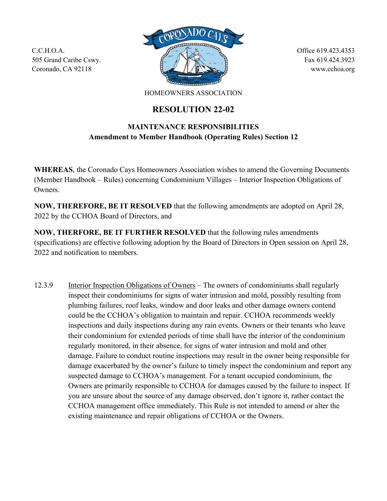C.C.H.O.A. 505 Grand Caribe Cswy. Coronado, CA 92118



Office 619.423.4353 Fax 619.424.3923 www.cchoa.org

HOMEOWNERS ASSOCIATION

## **RESOLUTION 22-02**

## **MAINTENANCE RESPONSIBILITIES Amendment to Member Handbook (Operating Rules) Section 12**

**WHEREAS**, the Coronado Cays Homeowners Association wishes to amend the Governing Documents (Member Handbook – Rules) concerning Condominium Villages – Interior Inspection Obligations of Owners.

**NOW, THEREFORE, BE IT RESOLVED** that the following amendments are adopted on April 28, 2022 by the CCHOA Board of Directors, and

**NOW, THERFORE, BE IT FURTHER RESOLVED** that the following rules amendments (specifications) are effective following adoption by the Board of Directors in Open session on April 28, 2022 and notification to members.

12.3.9 Interior Inspection Obligations of Owners – The owners of condominiums shall regularly inspect their condominiums for signs of water intrusion and mold, possibly resulting from plumbing failures, roof leaks, window and door leaks and other damage owners contend could be the CCHOA's obligation to maintain and repair. CCHOA recommends weekly inspections and daily inspections during any rain events. Owners or their tenants who leave their condominium for extended periods of time shall have the interior of the condominium regularly monitored, in their absence, for signs of water intrusion and mold and other damage. Failure to conduct routine inspections may result in the owner being responsible for damage exacerbated by the owner's failure to timely inspect the condominium and report any suspected damage to CCHOA's management. For a tenant occupied condominium, the Owners are primarily responsible to CCHOA for damages caused by the failure to inspect. If you are unsure about the source of any damage observed, don't ignore it, rather contact the CCHOA management office immediately. This Rule is not intended to amend or alter the existing maintenance and repair obligations of CCHOA or the Owners.